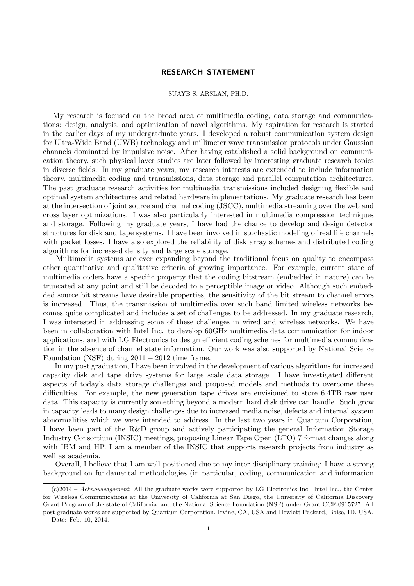## RESEARCH STATEMENT

### SUAYB S. ARSLAN, PH.D.

My research is focused on the broad area of multimedia coding, data storage and communications: design, analysis, and optimization of novel algorithms. My aspiration for research is started in the earlier days of my undergraduate years. I developed a robust communication system design for Ultra-Wide Band (UWB) technology and millimeter wave transmission protocols under Gaussian channels dominated by impulsive noise. After having established a solid background on communication theory, such physical layer studies are later followed by interesting graduate research topics in diverse fields. In my graduate years, my research interests are extended to include information theory, multimedia coding and transmissions, data storage and parallel computation architectures. The past graduate research activities for multimedia transmissions included designing flexible and optimal system architectures and related hardware implementations. My graduate research has been at the intersection of joint source and channel coding (JSCC), multimedia streaming over the web and cross layer optimizations. I was also particularly interested in multimedia compression techniques and storage. Following my graduate years, I have had the chance to develop and design detector structures for disk and tape systems. I have been involved in stochastic modeling of real life channels with packet losses. I have also explored the reliability of disk array schemes and distributed coding algorithms for increased density and large scale storage.

Multimedia systems are ever expanding beyond the traditional focus on quality to encompass other quantitative and qualitative criteria of growing importance. For example, current state of multimedia coders have a specific property that the coding bitstream (embedded in nature) can be truncated at any point and still be decoded to a perceptible image or video. Although such embedded source bit streams have desirable properties, the sensitivity of the bit stream to channel errors is increased. Thus, the transmission of multimedia over such band limited wireless networks becomes quite complicated and includes a set of challenges to be addressed. In my graduate research, I was interested in addressing some of these challenges in wired and wireless networks. We have been in collaboration with Intel Inc. to develop 60GHz multimedia data communication for indoor applications, and with LG Electronics to design efficient coding schemes for multimedia communication in the absence of channel state information. Our work was also supported by National Science Foundation (NSF) during  $2011 - 2012$  time frame.

In my post graduation, I have been involved in the development of various algorithms for increased capacity disk and tape drive systems for large scale data storage. I have investigated different aspects of today's data storage challenges and proposed models and methods to overcome these difficulties. For example, the new generation tape drives are envisioned to store 6.4TB raw user data. This capacity is currently something beyond a modern hard disk drive can handle. Such grow in capacity leads to many design challenges due to increased media noise, defects and internal system abnormalities which we were intended to address. In the last two years in Quantum Corporation, I have been part of the R&D group and actively participating the general Information Storage Industry Consortium (INSIC) meetings, proposing Linear Tape Open (LTO) 7 format changes along with IBM and HP. I am a member of the INSIC that supports research projects from industry as well as academia.

Overall, I believe that I am well-positioned due to my inter-disciplinary training: I have a strong background on fundamental methodologies (in particular, coding, communication and information

<sup>(</sup>c)2014 – Acknowledgement: All the graduate works were supported by LG Electronics Inc., Intel Inc., the Center for Wireless Communications at the University of California at San Diego, the University of California Discovery Grant Program of the state of California, and the National Science Foundation (NSF) under Grant CCF-0915727. All post-graduate works are supported by Quantum Corporation, Irvine, CA, USA and Hewlett Packard, Boise, ID, USA.

Date: Feb. 10, 2014.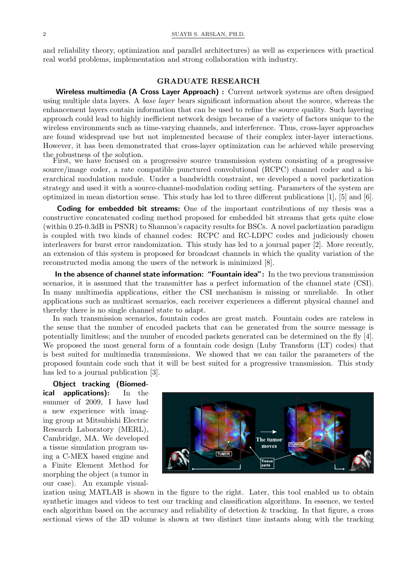and reliability theory, optimization and parallel architectures) as well as experiences with practical real world problems, implementation and strong collaboration with industry.

# GRADUATE RESEARCH

Wireless multimedia (A Cross Layer Approach) : Current network systems are often designed using multiple data layers. A base layer bears significant information about the source, whereas the enhancement layers contain information that can be used to refine the source quality. Such layering approach could lead to highly inefficient network design because of a variety of factors unique to the wireless environments such as time-varying channels, and interference. Thus, cross-layer approaches are found widespread use but not implemented because of their complex inter-layer interactions. However, it has been demonstrated that cross-layer optimization can be achieved while preserving the robustness of the solution.

First, we have focused on a progressive source transmission system consisting of a progressive source/image coder, a rate compatible punctured convolutional (RCPC) channel coder and a hierarchical modulation module. Under a bandwidth constraint, we developed a novel packetization strategy and used it with a source-channel-modulation coding setting. Parameters of the system are optimized in mean distortion sense. This study has led to three different publications [1], [5] and [6].

Coding for embedded bit streams: One of the important contributions of my thesis was a constructive concatenated coding method proposed for embedded bit streams that gets quite close (within 0.25-0.3dB in PSNR) to Shannon's capacity results for BSCs. A novel packetization paradigm is coupled with two kinds of channel codes: RCPC and RC-LDPC codes and judiciously chosen interleavers for burst error randomization. This study has led to a journal paper [2]. More recently, an extension of this system is proposed for broadcast channels in which the quality variation of the reconstructed media among the users of the network is minimized [8].

In the absence of channel state information: "Fountain idea": In the two previous transmission scenarios, it is assumed that the transmitter has a perfect information of the channel state (CSI). In many multimedia applications, either the CSI mechanism is missing or unreliable. In other applications such as multicast scenarios, each receiver experiences a different physical channel and thereby there is no single channel state to adapt.

In such transmission scenarios, fountain codes are great match. Fountain codes are rateless in the sense that the number of encoded packets that can be generated from the source message is potentially limitless; and the number of encoded packets generated can be determined on the fly [4]. We proposed the most general form of a fountain code design (Luby Transform (LT) codes) that is best suited for multimedia transmissions. We showed that we can tailor the parameters of the proposed fountain code such that it will be best suited for a progressive transmission. This study has led to a journal publication [3].

Object tracking (Biomedical applications): In the summer of 2009, I have had a new experience with imaging group at Mitsubishi Electric Research Laboratory (MERL), Cambridge, MA. We developed a tissue simulation program using a C-MEX based engine and a Finite Element Method for morphing the object (a tumor in our case). An example visual-



ization using MATLAB is shown in the figure to the right. Later, this tool enabled us to obtain synthetic images and videos to test our tracking and classification algorithms. In essence, we tested each algorithm based on the accuracy and reliability of detection & tracking. In that figure, a cross sectional views of the 3D volume is shown at two distinct time instants along with the tracking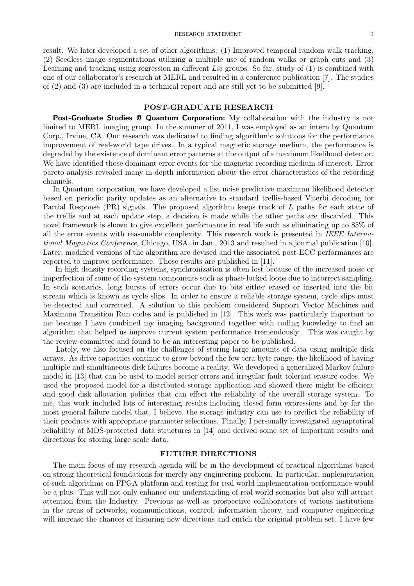result. We later developed a set of other algorithms: (1) Improved temporal random walk tracking, (2) Seedless image segmentations utilizing a multiple use of random walks or graph cuts and (3) Learning and tracking using regression in different Lie groups. So far, study of  $(1)$  is combined with one of our collaborator's research at MERL and resulted in a conference publication [7]. The studies of (2) and (3) are included in a technical report and are still yet to be submitted [9].

### POST-GRADUATE RESEARCH

Post-Graduate Studies @ Quantum Corporation: My collaboration with the industry is not limited to MERL imaging group. In the summer of 2011, I was employed as an intern by Quantum Corp., Irvine, CA. Our research was dedicated to finding algorithmic solutions for the performance improvement of real-world tape drives. In a typical magnetic storage medium, the performance is degraded by the existence of dominant error patterns at the output of a maximum likelihood detector. We have identified those dominant error events for the magnetic recording medium of interest. Error pareto analysis revealed many in-depth information about the error characteristics of the recording channels.

In Quantum corporation, we have developed a list noise predictive maximum likelihood detector based on periodic parity updates as an alternative to standard trellis-based Viterbi decoding for Partial Response (PR) signals. The proposed algorithm keeps track of L paths for each state of the trellis and at each update step, a decision is made while the other paths are discarded. This novel framework is shown to give excellent performance in real life such as eliminating up to 85% of all the error events with reasonable complexity. This research work is presented in IEEE International Magnetics Conference, Chicago, USA, in Jan., 2013 and resulted in a journal publication [10]. Later, modified versions of the algorithm are devised and the associated post-ECC performances are reported to improve performance. Those results are published in [11].

In high density recording systems, synchronization is often lost because of the increased noise or imperfection of some of the system components such as phase-locked loops due to incorrect sampling. In such scenarios, long bursts of errors occur due to bits either erased or inserted into the bit stream which is known as cycle slips. In order to ensure a reliable storage system, cycle slips must be detected and corrected. A solution to this problem considered Support Vector Machines and Maximum Transition Run codes and is published in [12]. This work was particularly important to me because I have combined my imaging background together with coding knowledge to find an algorithm that helped us improve current system performance tremendously . This was caught by the review committee and found to be an interesting paper to be published.

Lately, we also focused on the challenges of storing large amounts of data using multiple disk arrays. As drive capacities continue to grow beyond the few tera byte range, the likelihood of having multiple and simultaneous disk failures become a reality. We developed a generalized Markov failure model in [13] that can be used to model sector errors and irregular fault tolerant erasure codes. We used the proposed model for a distributed storage application and showed there might be efficient and good disk allocation policies that can effect the reliability of the overall storage system. To me, this work included lots of interesting results including closed form expressions and by far the most general failure model that, I believe, the storage industry can use to predict the reliability of their products with appropriate parameter selections. Finally, I personally investigated asymptotical reliability of MDS-protected data structures in [14] and derived some set of important results and directions for storing large scale data.

## FUTURE DIRECTIONS

The main focus of my research agenda will be in the development of practical algorithms based on strong theoretical foundations for merely any engineering problem. In particular, implementation of such algorithms on FPGA platform and testing for real world implementation performance would be a plus. This will not only enhance our understanding of real world scenarios but also will attract attention from the Industry. Previous as well as prospective collaborators of various institutions in the areas of networks, communications, control, information theory, and computer engineering will increase the chances of inspiring new directions and enrich the original problem set. I have few